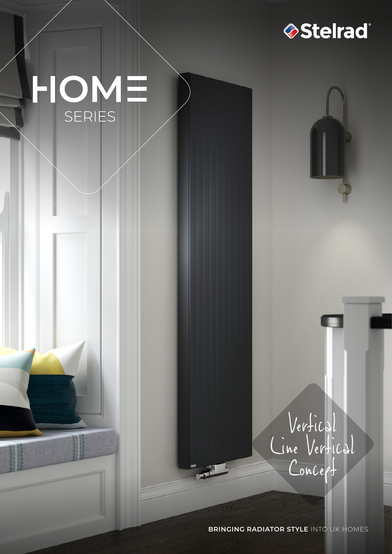

# HOME

Vertical Line Vertical Concept

**BRINGING RADIATOR STYLE** INTO UK HOMES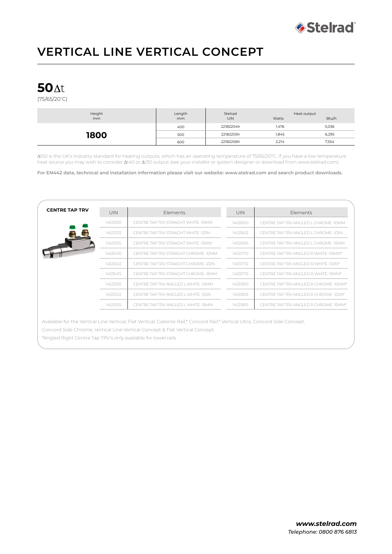

# **VERTICAL LINE VERTICAL CONCEPT**

## **50**

(75/65/20º C)

| Height<br>mm | Length<br>m <sub>m</sub> | Stelrad<br><b>UIN</b> | Heat output<br>Watts | Btu/h |
|--------------|--------------------------|-----------------------|----------------------|-------|
| 1800         | 400                      | 22182204h             | l,476                | 5,036 |
|              | 500                      | 22182205h             | 1,845                | 6,295 |
|              | 600                      | 22182206h             | 2,214                | 7,554 |

t50 is the UK's industry standard for heating outputs, which has an operating temperature of 75/65/20ºC. If you have a low temperature heat source you may wish to consider  $\Delta t40$  or  $\Delta t30$  output (see your installer or system designer or download from www.stelrad.com).

**For EN442 data, technical and installation information please visit our website: www.stelrad.com and search product downloads.**

| <b>CENTRE TAP TRV</b> | UIN      | <b>Flements</b>                       | <b>UIN</b> | <b>Flements</b>                        |  |
|-----------------------|----------|---------------------------------------|------------|----------------------------------------|--|
|                       | 14531310 | CENTRE TAP TRV STRAIGHT WHITE -10MM   | 14531610   | CENTRE TAP TRV ANGLED L CHROME -10MM   |  |
|                       | 14531312 | CENTRE TAP TRV STRAIGHT WHITE -1/2IN  | 14531612   | CENTRE TAP TRV ANGLED L CHROME -1/2IN  |  |
|                       | 14531315 | CENTRE TAP TRV STRAIGHT WHITE -15MM   | 14531615   | CENTRE TAP TRV ANGLED L CHROME -15MM   |  |
|                       | 14531410 | CENTRE TAP TRV STRAIGHT CHROME -10MM  | 14531710   | CENTRE TAP TRV ANGLED R WHITE -10MM*   |  |
|                       | 14531412 | CENTRE TAP TRV STRAIGHT CHROME -1/2IN | 14531712   | CENTRE TAP TRV ANGLED R WHITE -1/2IN*  |  |
|                       | 14531415 | CENTRE TAP TRV STRAIGHT CHROME -15MM  | 14531715   | CENTRE TAP TRV ANGLED R WHITE -15MM*   |  |
|                       | 14531510 | CENTRE TAP TRV ANGLED L WHITE -10MM   | 14531810   | CENTRE TAP TRV ANGLED R CHROME -10MM*  |  |
|                       | 14531512 | CENTRE TAP TRV ANGLED L WHITE -1/2IN  | 14531812   | CENTRE TAP TRV ANGLED R CHROME -1/2IN* |  |
|                       | 14531515 | CENTRE TAP TRV ANGLED L WHITE -15MM   | 14531815   | CENTRE TAP TRV ANGLED R CHROME -15MM*  |  |
|                       |          |                                       |            |                                        |  |

Available for the Vertical Line Vertical, Flat Vertical, Caliente Rail,\* Concord Rail,\* Vertical Ultra, Concord Side Concept, Concord Side Chrome, Vertical Line Vertical Concept & Flat Vertical Concept.

\*Angled Right Centre Tap TRV's only available for towel rails.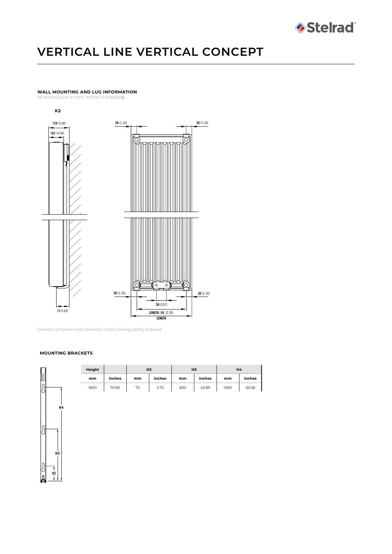

# **VERTICAL LINE VERTICAL CONCEPT**

## **WALL MOUNTING AND LUG INFORMATION**

All dimensions in mm. Inches in brackets.



Comes complete with Stelrad's class leading safety bracket.

#### **MOUNTING BRACKETS**



| Height |        | H <sub>2</sub> |        | H <sub>3</sub> |        | <b>H4</b> |        |
|--------|--------|----------------|--------|----------------|--------|-----------|--------|
| mm     | inches | mm             | inches | mm             | inches | mm        | inches |
| 1800   | 70.90  | 70             | 2.75   | 830            | 43.89  | 1590      | 63.58  |